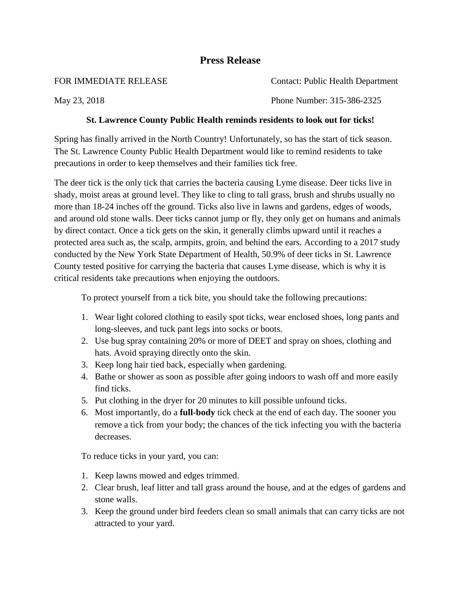## **Press Release**

| FOR IMMEDIATE RELEASE | <b>Contact: Public Health Department</b> |
|-----------------------|------------------------------------------|
| May 23, 2018          | Phone Number: 315-386-2325               |

## **St. Lawrence County Public Health reminds residents to look out for ticks!**

Spring has finally arrived in the North Country! Unfortunately, so has the start of tick season. The St. Lawrence County Public Health Department would like to remind residents to take precautions in order to keep themselves and their families tick free.

The deer tick is the only tick that carries the bacteria causing Lyme disease. Deer ticks live in shady, moist areas at ground level. They like to cling to tall grass, brush and shrubs usually no more than 18-24 inches off the ground. Ticks also live in lawns and gardens, edges of woods, and around old stone walls. Deer ticks cannot jump or fly, they only get on humans and animals by direct contact. Once a tick gets on the skin, it generally climbs upward until it reaches a protected area such as, the scalp, armpits, groin, and behind the ears. According to a 2017 study conducted by the New York State Department of Health, 50.9% of deer ticks in St. Lawrence County tested positive for carrying the bacteria that causes Lyme disease, which is why it is critical residents take precautions when enjoying the outdoors.

To protect yourself from a tick bite, you should take the following precautions:

- 1. Wear light colored clothing to easily spot ticks, wear enclosed shoes, long pants and long-sleeves, and tuck pant legs into socks or boots.
- 2. Use bug spray containing 20% or more of DEET and spray on shoes, clothing and hats. Avoid spraying directly onto the skin.
- 3. Keep long hair tied back, especially when gardening.
- 4. Bathe or shower as soon as possible after going indoors to wash off and more easily find ticks.
- 5. Put clothing in the dryer for 20 minutes to kill possible unfound ticks.
- 6. Most importantly, do a **full-body** tick check at the end of each day. The sooner you remove a tick from your body; the chances of the tick infecting you with the bacteria decreases.

To reduce ticks in your yard, you can:

- 1. Keep lawns mowed and edges trimmed.
- 2. Clear brush, leaf litter and tall grass around the house, and at the edges of gardens and stone walls.
- 3. Keep the ground under bird feeders clean so small animals that can carry ticks are not attracted to your yard.